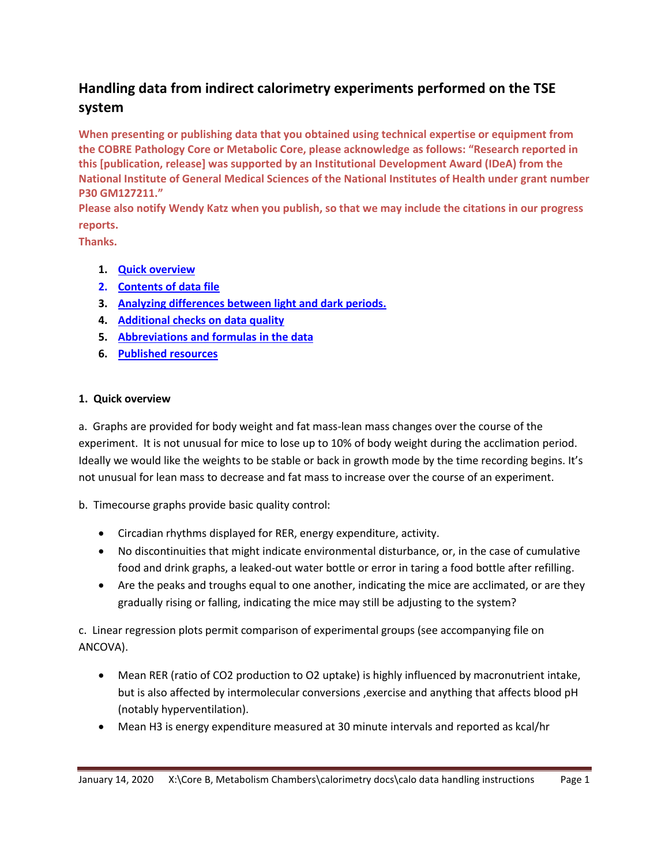# **Handling data from indirect calorimetry experiments performed on the TSE system**

**When presenting or publishing data that you obtained using technical expertise or equipment from the COBRE Pathology Core or Metabolic Core, please acknowledge as follows: "Research reported in this [publication, release] was supported by an Institutional Development Award (IDeA) from the National Institute of General Medical Sciences of the National Institutes of Health under grant number P30 GM127211."**

**Please also notify Wendy Katz when you publish, so that we may include the citations in our progress reports.**

**Thanks.**

- **1. [Quick overview](#page-0-0)**
- **2. [Contents of data file](#page-1-0)**
- **3. [Analyzing differences between light and dark periods.](#page-2-0)**
- **4. [Additional checks on](#page-3-0) data quality**
- **5. [Abbreviations and formulas](#page-4-0) in the data**
- **6. [Published resources](#page-5-0)**

## <span id="page-0-0"></span>**1. Quick overview**

a. Graphs are provided for body weight and fat mass-lean mass changes over the course of the experiment. It is not unusual for mice to lose up to 10% of body weight during the acclimation period. Ideally we would like the weights to be stable or back in growth mode by the time recording begins. It's not unusual for lean mass to decrease and fat mass to increase over the course of an experiment.

b. Timecourse graphs provide basic quality control:

- Circadian rhythms displayed for RER, energy expenditure, activity.
- No discontinuities that might indicate environmental disturbance, or, in the case of cumulative food and drink graphs, a leaked-out water bottle or error in taring a food bottle after refilling.
- Are the peaks and troughs equal to one another, indicating the mice are acclimated, or are they gradually rising or falling, indicating the mice may still be adjusting to the system?

c. Linear regression plots permit comparison of experimental groups (see accompanying file on ANCOVA).

- Mean RER (ratio of CO2 production to O2 uptake) is highly influenced by macronutrient intake, but is also affected by intermolecular conversions ,exercise and anything that affects blood pH (notably hyperventilation).
- Mean H3 is energy expenditure measured at 30 minute intervals and reported as kcal/hr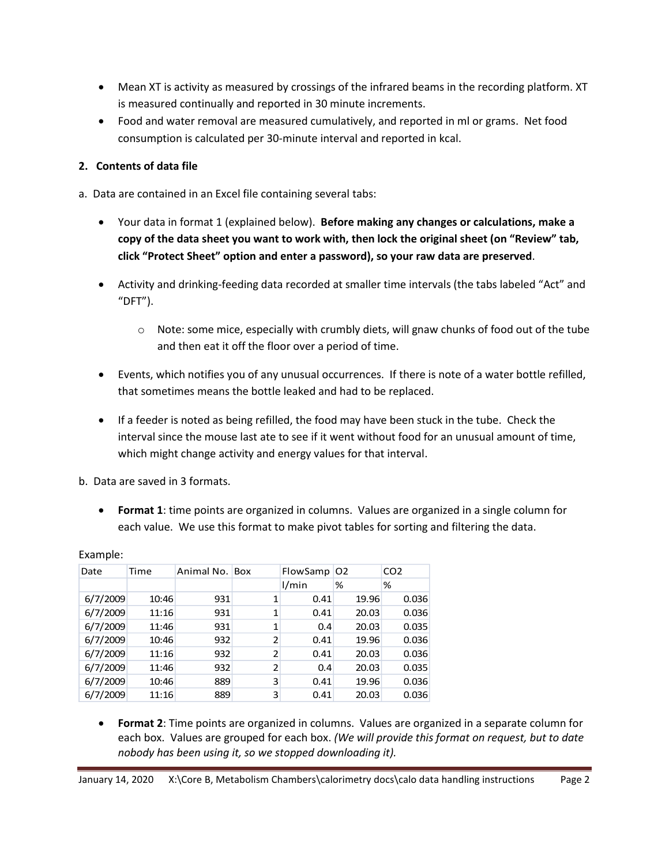- Mean XT is activity as measured by crossings of the infrared beams in the recording platform. XT is measured continually and reported in 30 minute increments.
- Food and water removal are measured cumulatively, and reported in ml or grams. Net food consumption is calculated per 30-minute interval and reported in kcal.

# <span id="page-1-0"></span>**2. Contents of data file**

- a. Data are contained in an Excel file containing several tabs:
	- Your data in format 1 (explained below). **Before making any changes or calculations, make a copy of the data sheet you want to work with, then lock the original sheet (on "Review" tab, click "Protect Sheet" option and enter a password), so your raw data are preserved**.
	- Activity and drinking-feeding data recorded at smaller time intervals (the tabs labeled "Act" and "DFT").
		- $\circ$  Note: some mice, especially with crumbly diets, will gnaw chunks of food out of the tube and then eat it off the floor over a period of time.
	- Events, which notifies you of any unusual occurrences. If there is note of a water bottle refilled, that sometimes means the bottle leaked and had to be replaced.
	- If a feeder is noted as being refilled, the food may have been stuck in the tube. Check the interval since the mouse last ate to see if it went without food for an unusual amount of time, which might change activity and energy values for that interval.

b. Data are saved in 3 formats.

 **Format 1**: time points are organized in columns. Values are organized in a single column for each value. We use this format to make pivot tables for sorting and filtering the data.

| Animal No. Box<br>CO <sub>2</sub><br>Time<br>FlowSamp   O2<br>Date<br>%<br>l/min<br>% |       |
|---------------------------------------------------------------------------------------|-------|
|                                                                                       |       |
|                                                                                       |       |
| 6/7/2009<br>931<br>10:46<br>1<br>0.41<br>19.96                                        | 0.036 |
| 6/7/2009<br>931<br>1<br>11:16<br>0.41<br>20.03                                        | 0.036 |
| 6/7/2009<br>931<br>1<br>11:46<br>20.03<br>0.4                                         | 0.035 |
| 6/7/2009<br>2<br>932<br>19.96<br>10:46<br>0.41                                        | 0.036 |
| 6/7/2009<br>2<br>932<br>11:16<br>20.03<br>0.41                                        | 0.036 |
| 6/7/2009<br>2<br>932<br>20.03<br>11:46<br>0.4                                         | 0.035 |
| 6/7/2009<br>3<br>889<br>19.96<br>10:46<br>0.41                                        | 0.036 |
| 6/7/2009<br>3<br>889<br>11:16<br>0.41<br>20.03                                        | 0.036 |

Example:

 **Format 2**: Time points are organized in columns. Values are organized in a separate column for each box. Values are grouped for each box. *(We will provide this format on request, but to date nobody has been using it, so we stopped downloading it).*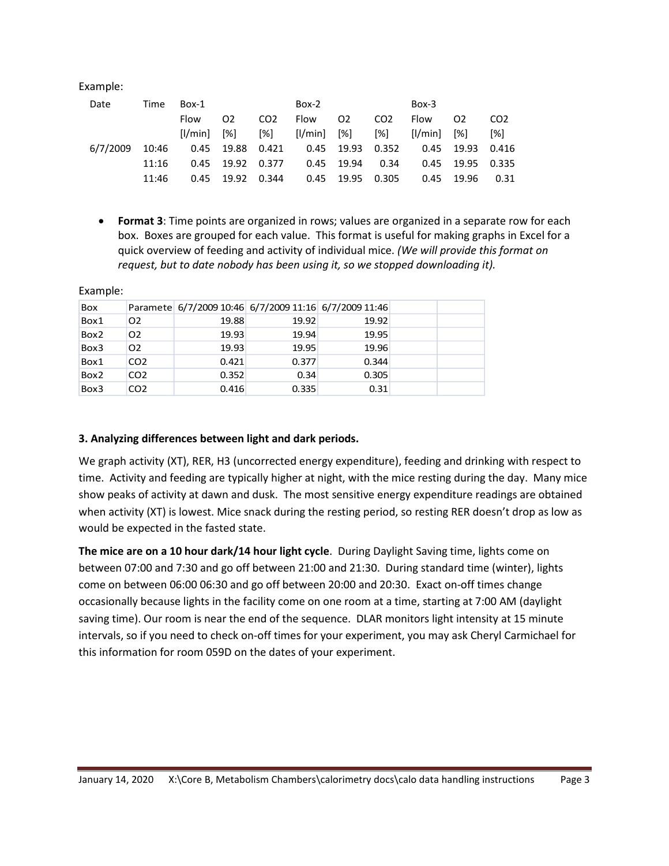Example:

| Date     | Time  | Box-1             |                |                 | $Box-2$     |                |                 | Box-3   |              |                 |
|----------|-------|-------------------|----------------|-----------------|-------------|----------------|-----------------|---------|--------------|-----------------|
|          |       | Flow              | O <sub>2</sub> | CO <sub>2</sub> | Flow        | O <sub>2</sub> | CO <sub>2</sub> | Flow    | 02           | CO <sub>2</sub> |
|          |       | $I/M$ in $I$ $\%$ |                | [%]             | [l/min] [%] |                | [%]             | [1/min] | [%]          | [%]             |
| 6/7/2009 | 10:46 | 0.45              | 19.88          | 0.421           |             | 0.45 19.93     | 0.352           |         | $0.45$ 19.93 | 0.416           |
|          | 11:16 | 0.45              | 19.92          | 0.377           | 0.45        | 19.94          | 0.34            |         | 0.45 19.95   | 0.335           |
|          | 11:46 | 0.45              | 19.92          | 0.344           | 0.45        | 19.95          | 0.305           | 0.45    | 19.96        | 0.31            |
|          |       |                   |                |                 |             |                |                 |         |              |                 |

 **Format 3**: Time points are organized in rows; values are organized in a separate row for each box. Boxes are grouped for each value. This format is useful for making graphs in Excel for a quick overview of feeding and activity of individual mice. *(We will provide this format on request, but to date nobody has been using it, so we stopped downloading it).*

| <b>Box</b> |                 | Paramete 6/7/2009 10:46 6/7/2009 11:16 6/7/2009 11:46 |       |       |  |
|------------|-----------------|-------------------------------------------------------|-------|-------|--|
| Box1       | 02              | 19.88                                                 | 19.92 | 19.92 |  |
| Box2       | O <sub>2</sub>  | 19.93                                                 | 19.94 | 19.95 |  |
| Box3       | O <sub>2</sub>  | 19.93                                                 | 19.95 | 19.96 |  |
| Box1       | CO <sub>2</sub> | 0.421                                                 | 0.377 | 0.344 |  |
| Box2       | CO <sub>2</sub> | 0.352                                                 | 0.34  | 0.305 |  |
| Box3       | CO <sub>2</sub> | 0.416                                                 | 0.335 | 0.31  |  |

Example:

#### <span id="page-2-0"></span>**3. Analyzing differences between light and dark periods.**

We graph activity (XT), RER, H3 (uncorrected energy expenditure), feeding and drinking with respect to time. Activity and feeding are typically higher at night, with the mice resting during the day. Many mice show peaks of activity at dawn and dusk. The most sensitive energy expenditure readings are obtained when activity (XT) is lowest. Mice snack during the resting period, so resting RER doesn't drop as low as would be expected in the fasted state.

**The mice are on a 10 hour dark/14 hour light cycle**. During Daylight Saving time, lights come on between 07:00 and 7:30 and go off between 21:00 and 21:30. During standard time (winter), lights come on between 06:00 06:30 and go off between 20:00 and 20:30. Exact on-off times change occasionally because lights in the facility come on one room at a time, starting at 7:00 AM (daylight saving time). Our room is near the end of the sequence. DLAR monitors light intensity at 15 minute intervals, so if you need to check on-off times for your experiment, you may ask Cheryl Carmichael for this information for room 059D on the dates of your experiment.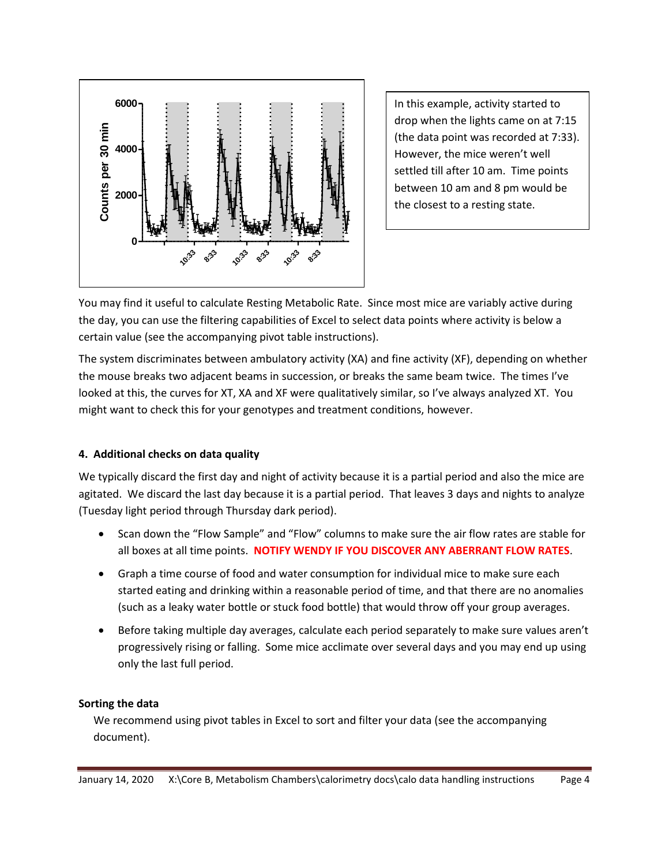

In this example, activity started to drop when the lights came on at 7:15 (the data point was recorded at 7:33). However, the mice weren't well settled till after 10 am. Time points between 10 am and 8 pm would be the closest to a resting state.

You may find it useful to calculate Resting Metabolic Rate. Since most mice are variably active during the day, you can use the filtering capabilities of Excel to select data points where activity is below a certain value (see the accompanying pivot table instructions).

The system discriminates between ambulatory activity (XA) and fine activity (XF), depending on whether the mouse breaks two adjacent beams in succession, or breaks the same beam twice. The times I've looked at this, the curves for XT, XA and XF were qualitatively similar, so I've always analyzed XT. You might want to check this for your genotypes and treatment conditions, however.

## <span id="page-3-0"></span>**4. Additional checks on data quality**

We typically discard the first day and night of activity because it is a partial period and also the mice are agitated. We discard the last day because it is a partial period. That leaves 3 days and nights to analyze (Tuesday light period through Thursday dark period).

- Scan down the "Flow Sample" and "Flow" columns to make sure the air flow rates are stable for all boxes at all time points. **NOTIFY WENDY IF YOU DISCOVER ANY ABERRANT FLOW RATES**.
- Graph a time course of food and water consumption for individual mice to make sure each started eating and drinking within a reasonable period of time, and that there are no anomalies (such as a leaky water bottle or stuck food bottle) that would throw off your group averages.
- Before taking multiple day averages, calculate each period separately to make sure values aren't progressively rising or falling. Some mice acclimate over several days and you may end up using only the last full period.

## **Sorting the data**

We recommend using pivot tables in Excel to sort and filter your data (see the accompanying document).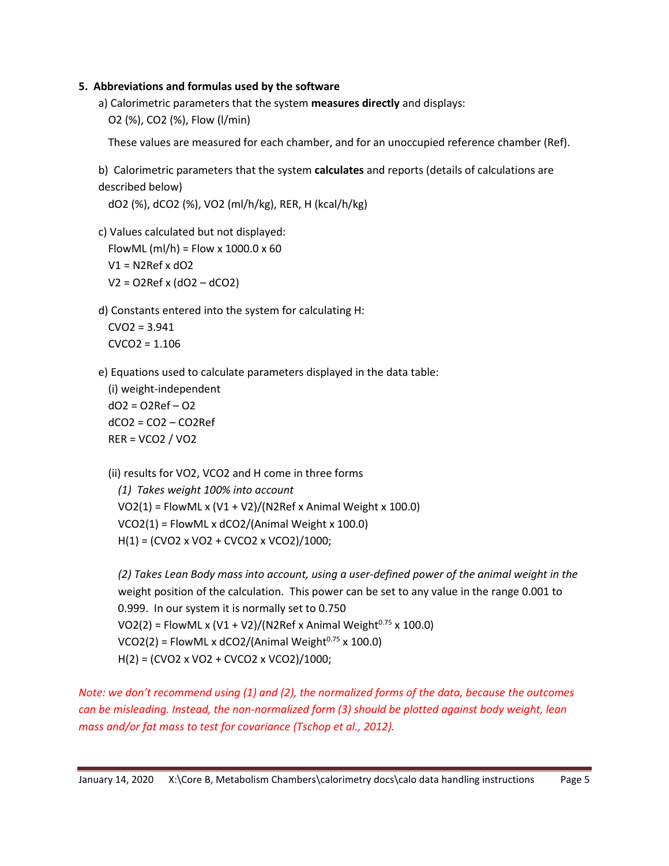#### <span id="page-4-0"></span>**5. Abbreviations and formulas used by the software**

a) Calorimetric parameters that the system **measures directly** and displays: O2 (%), CO2 (%), Flow (l/min)

These values are measured for each chamber, and for an unoccupied reference chamber (Ref).

b) Calorimetric parameters that the system **calculates** and reports (details of calculations are described below)

dO2 (%), dCO2 (%), VO2 (ml/h/kg), RER, H (kcal/h/kg)

c) Values calculated but not displayed:

FlowML (ml/h) = Flow x  $1000.0 \times 60$ 

 $V1 = N2$ Ref x dO2 V2 = O2Ref x (dO2 – dCO2)

d) Constants entered into the system for calculating H:

 $CVO2 = 3.941$  $CVCO2 = 1.106$ 

e) Equations used to calculate parameters displayed in the data table:

(i) weight-independent  $dO2 = O2Ref - O2$  $dCO2 = CO2 - CO2Ref$ RER = VCO2 / VO2

(ii) results for VO2, VCO2 and H come in three forms

*(1) Takes weight 100% into account*  $VO2(1) = FlowML \times (V1 + V2)/(N2Ref \times Animal Weight \times 100.0)$ VCO2(1) = FlowML x dCO2/(Animal Weight x 100.0) H(1) = (CVO2 x VO2 + CVCO2 x VCO2)/1000;

*(2) Takes Lean Body mass into account, using a user-defined power of the animal weight in the* weight position of the calculation. This power can be set to any value in the range 0.001 to 0.999. In our system it is normally set to 0.750  $VO2(2) = FlowML x (V1 + V2)/(N2Ref x Animal Weight<sup>0.75</sup> x 100.0)$  $VCO2(2)$  = FlowML x dCO2/(Animal Weight<sup>0.75</sup> x 100.0) H(2) = (CVO2 x VO2 + CVCO2 x VCO2)/1000;

*Note: we don't recommend using (1) and (2), the normalized forms of the data, because the outcomes can be misleading. Instead, the non-normalized form (3) should be plotted against body weight, lean mass and/or fat mass to test for covariance (Tschop et al., 2012).*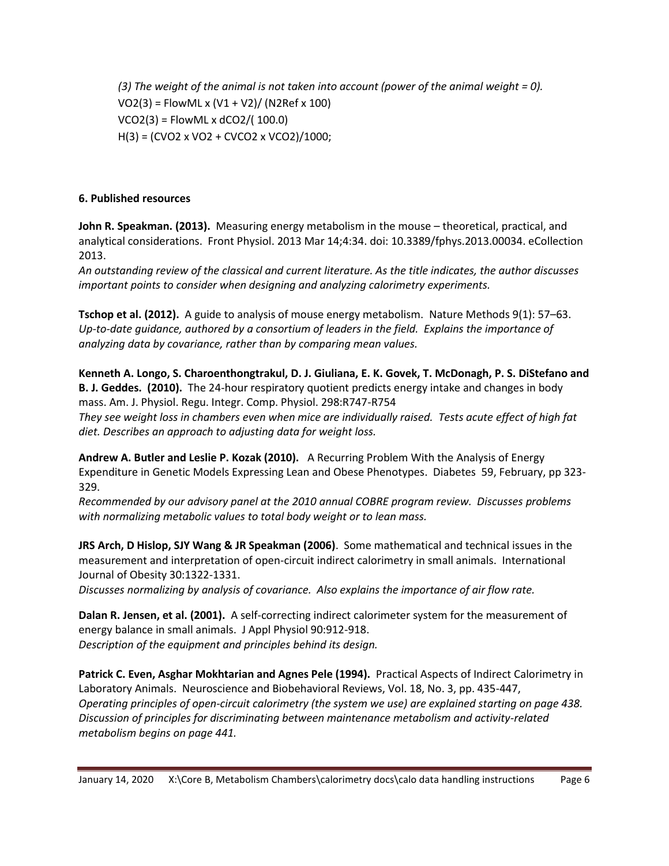*(3) The weight of the animal is not taken into account (power of the animal weight = 0).* VO2(3) = FlowML x (V1 + V2)/ (N2Ref x 100) VCO2(3) = FlowML x dCO2/( 100.0) H(3) = (CVO2 x VO2 + CVCO2 x VCO2)/1000;

#### <span id="page-5-0"></span>**6. Published resources**

**John R. Speakman. (2013).** Measuring energy metabolism in the mouse – theoretical, practical, and analytical considerations. Front Physiol. 2013 Mar 14;4:34. doi: 10.3389/fphys.2013.00034. eCollection 2013.

*An outstanding review of the classical and current literature. As the title indicates, the author discusses important points to consider when designing and analyzing calorimetry experiments.*

**Tschop et al. (2012).** A guide to analysis of mouse energy metabolism. Nature Methods 9(1): 57–63. *Up-to-date guidance, authored by a consortium of leaders in the field. Explains the importance of analyzing data by covariance, rather than by comparing mean values.*

**Kenneth A. Longo, S. Charoenthongtrakul, D. J. Giuliana, E. K. Govek, T. McDonagh, P. S. DiStefano and B. J. Geddes. (2010).** The 24-hour respiratory quotient predicts energy intake and changes in body mass. Am. J. Physiol. Regu. Integr. Comp. Physiol. 298:R747-R754 *They see weight loss in chambers even when mice are individually raised. Tests acute effect of high fat diet. Describes an approach to adjusting data for weight loss.*

**Andrew A. Butler and Leslie P. Kozak (2010).** A Recurring Problem With the Analysis of Energy Expenditure in Genetic Models Expressing Lean and Obese Phenotypes. Diabetes 59, February, pp 323- 329.

*Recommended by our advisory panel at the 2010 annual COBRE program review. Discusses problems with normalizing metabolic values to total body weight or to lean mass.*

**JRS Arch, D Hislop, SJY Wang & JR Speakman (2006)**. Some mathematical and technical issues in the measurement and interpretation of open-circuit indirect calorimetry in small animals. International Journal of Obesity 30:1322-1331.

*Discusses normalizing by analysis of covariance. Also explains the importance of air flow rate.*

**Dalan R. Jensen, et al. (2001).** A self-correcting indirect calorimeter system for the measurement of energy balance in small animals. J Appl Physiol 90:912-918. *Description of the equipment and principles behind its design.*

**Patrick C. Even, Asghar Mokhtarian and Agnes Pele (1994).** Practical Aspects of Indirect Calorimetry in Laboratory Animals. Neuroscience and Biobehavioral Reviews, Vol. 18, No. 3, pp. 435-447, *Operating principles of open-circuit calorimetry (the system we use) are explained starting on page 438. Discussion of principles for discriminating between maintenance metabolism and activity-related metabolism begins on page 441.*